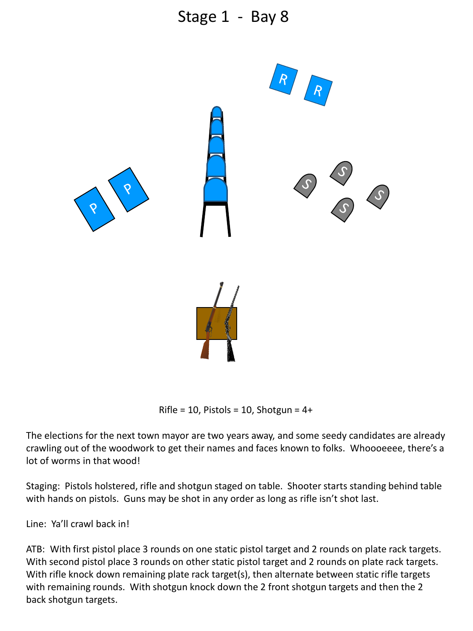

Rifle = 10, Pistols = 10, Shotgun =  $4+$ 

The elections for the next town mayor are two years away, and some seedy candidates are already crawling out of the woodwork to get their names and faces known to folks. Whoooeeee, there's a lot of worms in that wood!

Staging: Pistols holstered, rifle and shotgun staged on table. Shooter starts standing behind table with hands on pistols. Guns may be shot in any order as long as rifle isn't shot last.

Line: Ya'll crawl back in!

ATB: With first pistol place 3 rounds on one static pistol target and 2 rounds on plate rack targets. With second pistol place 3 rounds on other static pistol target and 2 rounds on plate rack targets. With rifle knock down remaining plate rack target(s), then alternate between static rifle targets with remaining rounds. With shotgun knock down the 2 front shotgun targets and then the 2 back shotgun targets.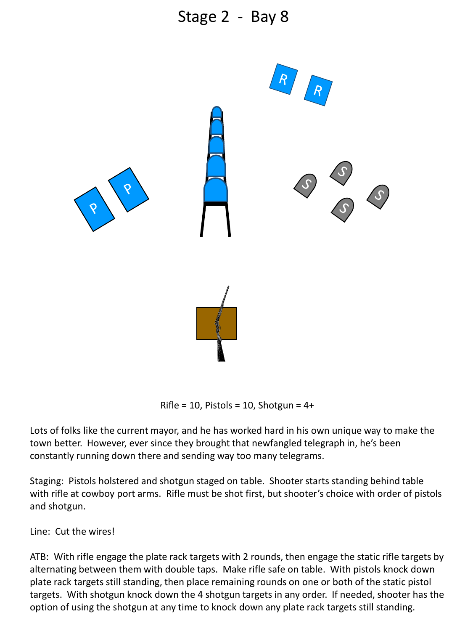

Rifle = 10, Pistols = 10, Shotgun =  $4+$ 

Lots of folks like the current mayor, and he has worked hard in his own unique way to make the town better. However, ever since they brought that newfangled telegraph in, he's been constantly running down there and sending way too many telegrams.

Staging: Pistols holstered and shotgun staged on table. Shooter starts standing behind table with rifle at cowboy port arms. Rifle must be shot first, but shooter's choice with order of pistols and shotgun.

Line: Cut the wires!

ATB: With rifle engage the plate rack targets with 2 rounds, then engage the static rifle targets by alternating between them with double taps. Make rifle safe on table. With pistols knock down plate rack targets still standing, then place remaining rounds on one or both of the static pistol targets. With shotgun knock down the 4 shotgun targets in any order. If needed, shooter has the option of using the shotgun at any time to knock down any plate rack targets still standing.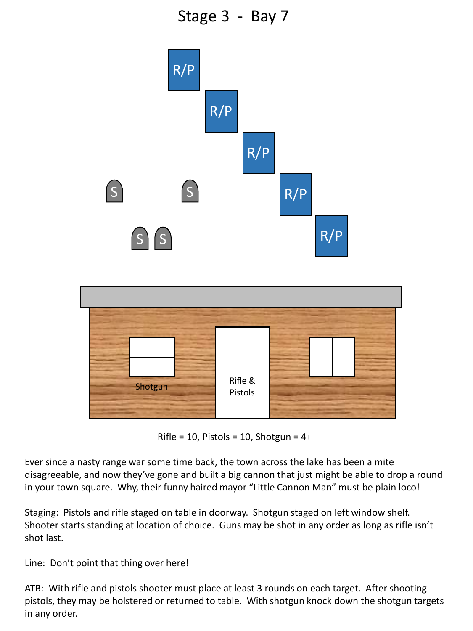Stage 3 - Bay 7



Rifle = 10, Pistols = 10, Shotgun =  $4+$ 

Ever since a nasty range war some time back, the town across the lake has been a mite disagreeable, and now they've gone and built a big cannon that just might be able to drop a round in your town square. Why, their funny haired mayor "Little Cannon Man" must be plain loco!

Staging: Pistols and rifle staged on table in doorway. Shotgun staged on left window shelf. Shooter starts standing at location of choice. Guns may be shot in any order as long as rifle isn't shot last.

Line: Don't point that thing over here!

ATB: With rifle and pistols shooter must place at least 3 rounds on each target. After shooting pistols, they may be holstered or returned to table. With shotgun knock down the shotgun targets in any order.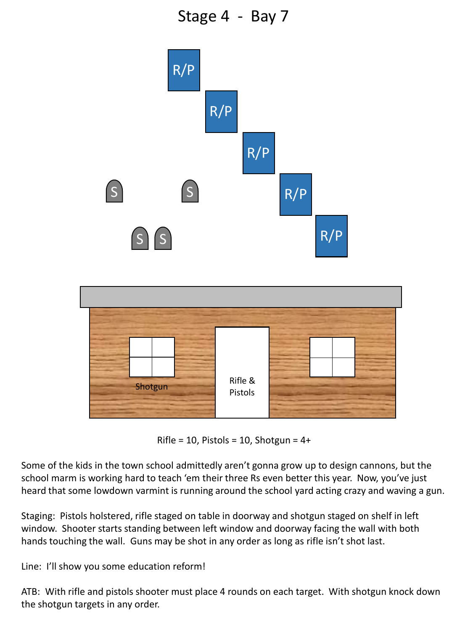Stage 4 - Bay 7



Rifle = 10, Pistols = 10, Shotgun =  $4+$ 

Some of the kids in the town school admittedly aren't gonna grow up to design cannons, but the school marm is working hard to teach 'em their three Rs even better this year. Now, you've just heard that some lowdown varmint is running around the school yard acting crazy and waving a gun.

Staging: Pistols holstered, rifle staged on table in doorway and shotgun staged on shelf in left window. Shooter starts standing between left window and doorway facing the wall with both hands touching the wall. Guns may be shot in any order as long as rifle isn't shot last.

Line: I'll show you some education reform!

ATB: With rifle and pistols shooter must place 4 rounds on each target. With shotgun knock down the shotgun targets in any order.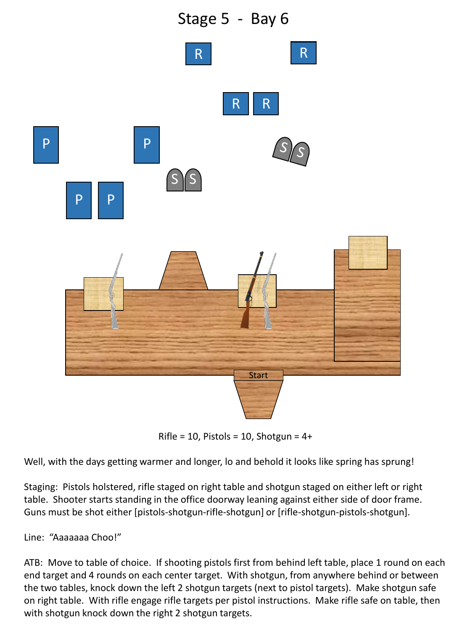

Rifle =  $10$ , Pistols =  $10$ , Shotgun =  $4+$ 

Well, with the days getting warmer and longer, lo and behold it looks like spring has sprung!

Staging: Pistols holstered, rifle staged on right table and shotgun staged on either left or right table. Shooter starts standing in the office doorway leaning against either side of door frame. Guns must be shot either [pistols-shotgun-rifle-shotgun] or [rifle-shotgun-pistols-shotgun].

Line: "Aaaaaaa Choo!"

ATB: Move to table of choice. If shooting pistols first from behind left table, place 1 round on each end target and 4 rounds on each center target. With shotgun, from anywhere behind or between the two tables, knock down the left 2 shotgun targets (next to pistol targets). Make shotgun safe on right table. With rifle engage rifle targets per pistol instructions. Make rifle safe on table, then with shotgun knock down the right 2 shotgun targets.